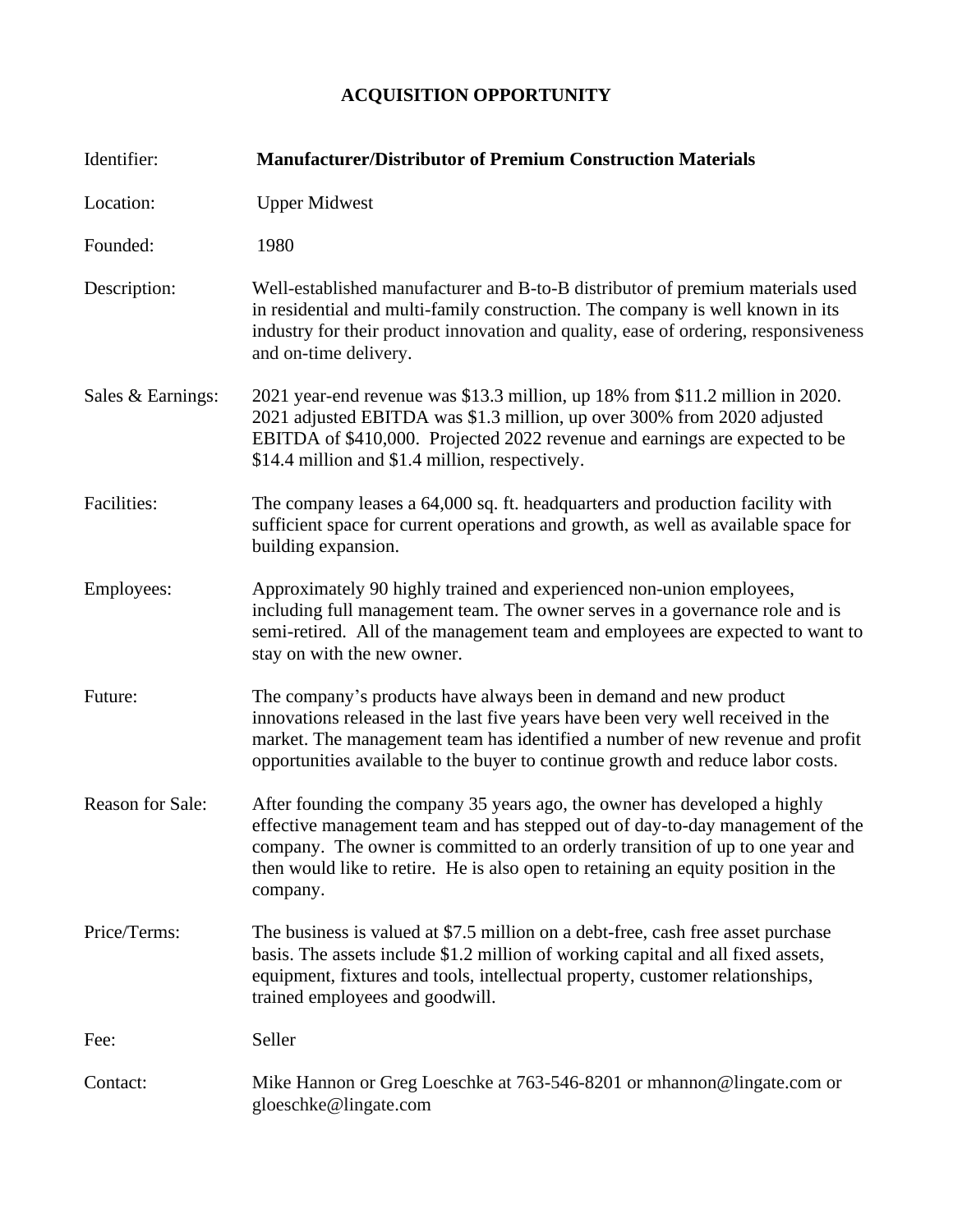## **ACQUISITION OPPORTUNITY**

| Identifier:       | <b>Manufacturer/Distributor of Premium Construction Materials</b>                                                                                                                                                                                                                                                                             |
|-------------------|-----------------------------------------------------------------------------------------------------------------------------------------------------------------------------------------------------------------------------------------------------------------------------------------------------------------------------------------------|
| Location:         | <b>Upper Midwest</b>                                                                                                                                                                                                                                                                                                                          |
| Founded:          | 1980                                                                                                                                                                                                                                                                                                                                          |
| Description:      | Well-established manufacturer and B-to-B distributor of premium materials used<br>in residential and multi-family construction. The company is well known in its<br>industry for their product innovation and quality, ease of ordering, responsiveness<br>and on-time delivery.                                                              |
| Sales & Earnings: | 2021 year-end revenue was \$13.3 million, up 18% from \$11.2 million in 2020.<br>2021 adjusted EBITDA was \$1.3 million, up over 300% from 2020 adjusted<br>EBITDA of \$410,000. Projected 2022 revenue and earnings are expected to be<br>\$14.4 million and \$1.4 million, respectively.                                                    |
| Facilities:       | The company leases a 64,000 sq. ft. headquarters and production facility with<br>sufficient space for current operations and growth, as well as available space for<br>building expansion.                                                                                                                                                    |
| Employees:        | Approximately 90 highly trained and experienced non-union employees,<br>including full management team. The owner serves in a governance role and is<br>semi-retired. All of the management team and employees are expected to want to<br>stay on with the new owner.                                                                         |
| Future:           | The company's products have always been in demand and new product<br>innovations released in the last five years have been very well received in the<br>market. The management team has identified a number of new revenue and profit<br>opportunities available to the buyer to continue growth and reduce labor costs.                      |
| Reason for Sale:  | After founding the company 35 years ago, the owner has developed a highly<br>effective management team and has stepped out of day-to-day management of the<br>company. The owner is committed to an orderly transition of up to one year and<br>then would like to retire. He is also open to retaining an equity position in the<br>company. |
| Price/Terms:      | The business is valued at \$7.5 million on a debt-free, cash free asset purchase<br>basis. The assets include \$1.2 million of working capital and all fixed assets,<br>equipment, fixtures and tools, intellectual property, customer relationships,<br>trained employees and goodwill.                                                      |
| Fee:              | Seller                                                                                                                                                                                                                                                                                                                                        |
| Contact:          | Mike Hannon or Greg Loeschke at 763-546-8201 or mhannon@lingate.com or<br>gloeschke@lingate.com                                                                                                                                                                                                                                               |